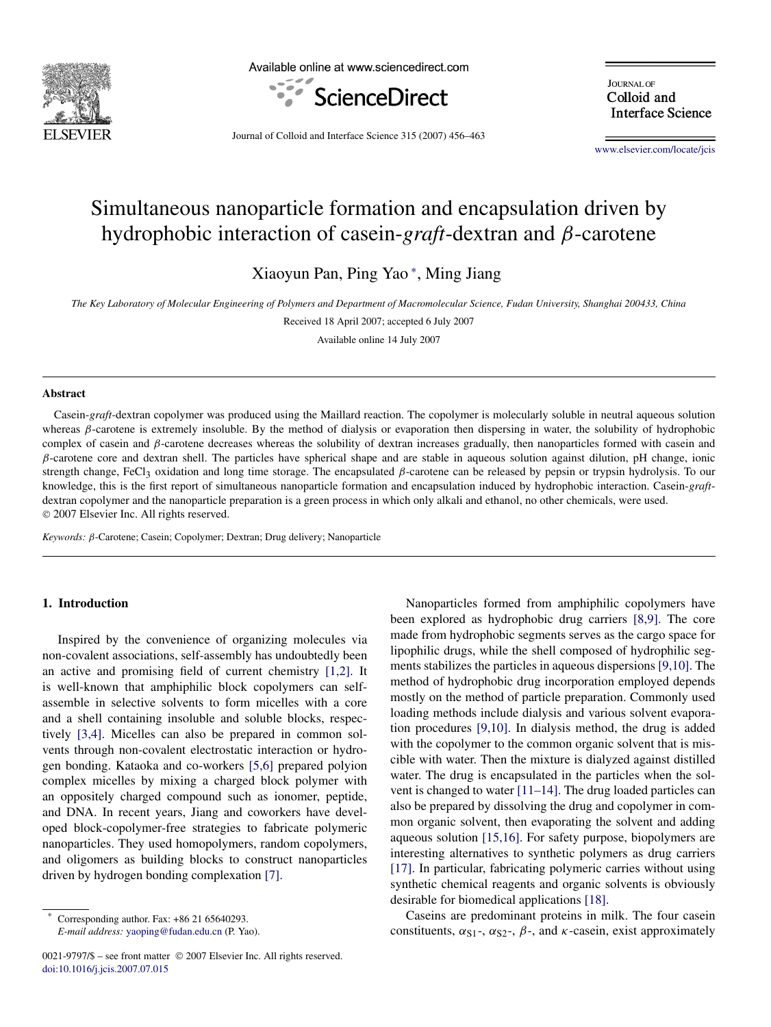

Available online at www.sciencedirect.com



**IQURNAL OF** Colloid and **Interface Science** 

Journal of Colloid and Interface Science 315 (2007) 456–463

[www.elsevier.com/locate/jcis](http://www.elsevier.com/locate/jcis)

# Simultaneous nanoparticle formation and encapsulation driven by hydrophobic interaction of casein-*graft*-dextran and *β*-carotene

Xiaoyun Pan, Ping Yao <sup>∗</sup> , Ming Jiang

*The Key Laboratory of Molecular Engineering of Polymers and Department of Macromolecular Science, Fudan University, Shanghai 200433, China*

Received 18 April 2007; accepted 6 July 2007

Available online 14 July 2007

#### **Abstract**

Casein-*graft*-dextran copolymer was produced using the Maillard reaction. The copolymer is molecularly soluble in neutral aqueous solution whereas *β*-carotene is extremely insoluble. By the method of dialysis or evaporation then dispersing in water, the solubility of hydrophobic complex of casein and *β*-carotene decreases whereas the solubility of dextran increases gradually, then nanoparticles formed with casein and *β*-carotene core and dextran shell. The particles have spherical shape and are stable in aqueous solution against dilution, pH change, ionic strength change, FeCl3 oxidation and long time storage. The encapsulated *β*-carotene can be released by pepsin or trypsin hydrolysis. To our knowledge, this is the first report of simultaneous nanoparticle formation and encapsulation induced by hydrophobic interaction. Casein-*graft*dextran copolymer and the nanoparticle preparation is a green process in which only alkali and ethanol, no other chemicals, were used. © 2007 Elsevier Inc. All rights reserved.

*Keywords: β*-Carotene; Casein; Copolymer; Dextran; Drug delivery; Nanoparticle

# **1. Introduction**

Inspired by the convenience of organizing molecules via non-covalent associations, self-assembly has undoubtedly been an active and promising field of current chemistry [\[1,2\].](#page-6-0) It is well-known that amphiphilic block copolymers can selfassemble in selective solvents to form micelles with a core and a shell containing insoluble and soluble blocks, respectively [\[3,4\].](#page-6-0) Micelles can also be prepared in common solvents through non-covalent electrostatic interaction or hydrogen bonding. Kataoka and co-workers [\[5,6\]](#page-6-0) prepared polyion complex micelles by mixing a charged block polymer with an oppositely charged compound such as ionomer, peptide, and DNA. In recent years, Jiang and coworkers have developed block-copolymer-free strategies to fabricate polymeric nanoparticles. They used homopolymers, random copolymers, and oligomers as building blocks to construct nanoparticles driven by hydrogen bonding complexation [\[7\].](#page-6-0)

Nanoparticles formed from amphiphilic copolymers have been explored as hydrophobic drug carriers [\[8,9\].](#page-6-0) The core made from hydrophobic segments serves as the cargo space for lipophilic drugs, while the shell composed of hydrophilic segments stabilizes the particles in aqueous dispersions [\[9,10\].](#page-6-0) The method of hydrophobic drug incorporation employed depends mostly on the method of particle preparation. Commonly used loading methods include dialysis and various solvent evaporation procedures [\[9,10\].](#page-6-0) In dialysis method, the drug is added with the copolymer to the common organic solvent that is miscible with water. Then the mixture is dialyzed against distilled water. The drug is encapsulated in the particles when the solvent is changed to water [\[11–14\].](#page-6-0) The drug loaded particles can also be prepared by dissolving the drug and copolymer in common organic solvent, then evaporating the solvent and adding aqueous solution [\[15,16\].](#page-6-0) For safety purpose, biopolymers are interesting alternatives to synthetic polymers as drug carriers [\[17\].](#page-6-0) In particular, fabricating polymeric carries without using synthetic chemical reagents and organic solvents is obviously desirable for biomedical applications [\[18\].](#page-6-0)

Caseins are predominant proteins in milk. The four casein constituents,  $\alpha_{S1}$ -,  $\alpha_{S2}$ -,  $\beta$ -, and  $\kappa$ -casein, exist approximately

Corresponding author. Fax: +86 21 65640293. *E-mail address:* [yaoping@fudan.edu.cn](mailto:yaoping@fudan.edu.cn) (P. Yao).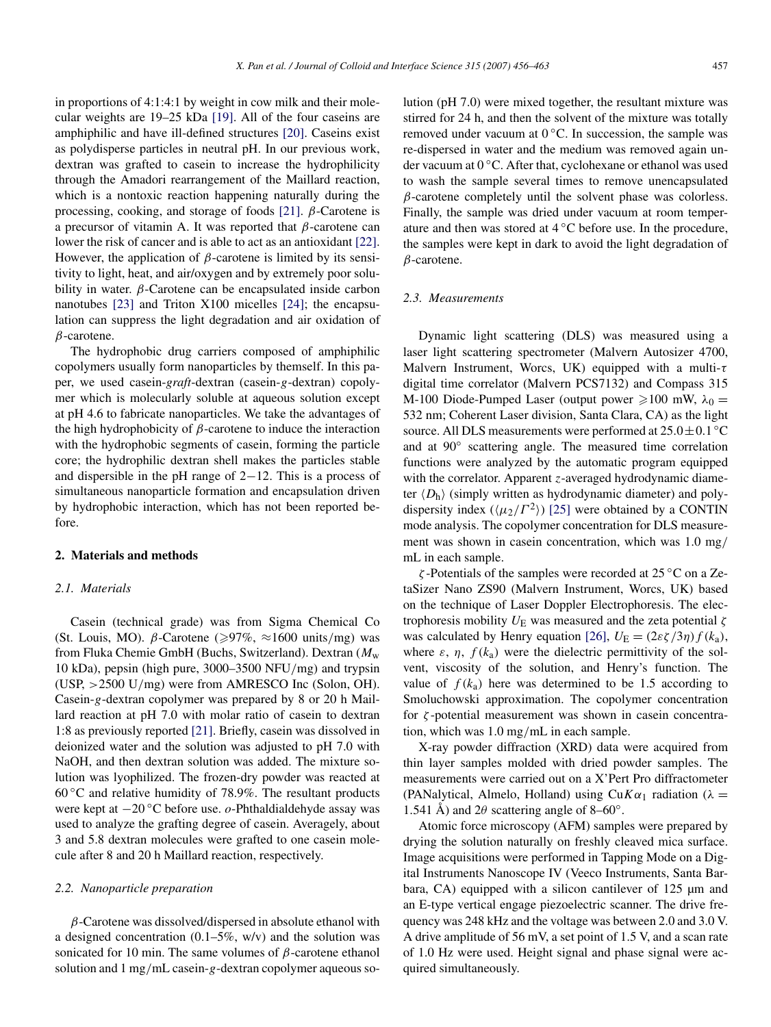in proportions of 4:1:4:1 by weight in cow milk and their molecular weights are 19–25 kDa [\[19\].](#page-6-0) All of the four caseins are amphiphilic and have ill-defined structures [\[20\].](#page-6-0) Caseins exist as polydisperse particles in neutral pH. In our previous work, dextran was grafted to casein to increase the hydrophilicity through the Amadori rearrangement of the Maillard reaction, which is a nontoxic reaction happening naturally during the processing, cooking, and storage of foods [\[21\].](#page-6-0) *β*-Carotene is a precursor of vitamin A. It was reported that *β*-carotene can lower the risk of cancer and is able to act as an antioxidant [\[22\].](#page-6-0) However, the application of *β*-carotene is limited by its sensitivity to light, heat, and air/oxygen and by extremely poor solubility in water. *β*-Carotene can be encapsulated inside carbon nanotubes [\[23\]](#page-6-0) and Triton X100 micelles [\[24\];](#page-6-0) the encapsulation can suppress the light degradation and air oxidation of *β*-carotene.

The hydrophobic drug carriers composed of amphiphilic copolymers usually form nanoparticles by themself. In this paper, we used casein-*graft*-dextran (casein-*g*-dextran) copolymer which is molecularly soluble at aqueous solution except at pH 4.6 to fabricate nanoparticles. We take the advantages of the high hydrophobicity of *β*-carotene to induce the interaction with the hydrophobic segments of casein, forming the particle core; the hydrophilic dextran shell makes the particles stable and dispersible in the pH range of 2−12. This is a process of simultaneous nanoparticle formation and encapsulation driven by hydrophobic interaction, which has not been reported before.

#### **2. Materials and methods**

#### *2.1. Materials*

Casein (technical grade) was from Sigma Chemical Co (St. Louis, MO). *β*-Carotene (≥97%, ≈1600 units/mg) was from Fluka Chemie GmbH (Buchs, Switzerland). Dextran (*M*<sup>w</sup> 10 kDa), pepsin (high pure, 3000–3500 NFU*/*mg) and trypsin (USP, *>*2500 U*/*mg) were from AMRESCO Inc (Solon, OH). Casein-*g*-dextran copolymer was prepared by 8 or 20 h Maillard reaction at pH 7.0 with molar ratio of casein to dextran 1:8 as previously reported [\[21\].](#page-6-0) Briefly, casein was dissolved in deionized water and the solution was adjusted to pH 7.0 with NaOH, and then dextran solution was added. The mixture solution was lyophilized. The frozen-dry powder was reacted at 60 °C and relative humidity of 78.9%. The resultant products were kept at −20 ◦C before use. *o*-Phthaldialdehyde assay was used to analyze the grafting degree of casein. Averagely, about 3 and 5.8 dextran molecules were grafted to one casein molecule after 8 and 20 h Maillard reaction, respectively.

#### *2.2. Nanoparticle preparation*

*β*-Carotene was dissolved/dispersed in absolute ethanol with a designed concentration  $(0.1–5\%, w/v)$  and the solution was sonicated for 10 min. The same volumes of *β*-carotene ethanol solution and 1 mg*/*mL casein-*g*-dextran copolymer aqueous solution (pH 7.0) were mixed together, the resultant mixture was stirred for 24 h, and then the solvent of the mixture was totally removed under vacuum at  $0^{\circ}$ C. In succession, the sample was re-dispersed in water and the medium was removed again under vacuum at 0 ◦C. After that, cyclohexane or ethanol was used to wash the sample several times to remove unencapsulated *β*-carotene completely until the solvent phase was colorless. Finally, the sample was dried under vacuum at room temperature and then was stored at  $4^{\circ}$ C before use. In the procedure, the samples were kept in dark to avoid the light degradation of *β*-carotene.

### *2.3. Measurements*

Dynamic light scattering (DLS) was measured using a laser light scattering spectrometer (Malvern Autosizer 4700, Malvern Instrument, Worcs, UK) equipped with a multi-*τ* digital time correlator (Malvern PCS7132) and Compass 315 M-100 Diode-Pumped Laser (output power  $\geq 100$  mW,  $\lambda_0 =$ 532 nm; Coherent Laser division, Santa Clara, CA) as the light source. All DLS measurements were performed at 25*.*0±0*.*1 ◦C and at 90◦ scattering angle. The measured time correlation functions were analyzed by the automatic program equipped with the correlator. Apparent *z*-averaged hydrodynamic diameter  $\langle D_h \rangle$  (simply written as hydrodynamic diameter) and polydispersity index  $(\mu_2/\Gamma^2)$  [\[25\]](#page-6-0) were obtained by a CONTIN mode analysis. The copolymer concentration for DLS measurement was shown in casein concentration, which was 1.0 mg*/* mL in each sample.

*ζ* -Potentials of the samples were recorded at 25 ◦C on a ZetaSizer Nano ZS90 (Malvern Instrument, Worcs, UK) based on the technique of Laser Doppler Electrophoresis. The electrophoresis mobility  $U<sub>E</sub>$  was measured and the zeta potential *ζ* was calculated by Henry equation [\[26\],](#page-6-0)  $U_E = (2\varepsilon \zeta/3\eta) f(k_a)$ , where  $\varepsilon$ ,  $\eta$ ,  $f(k_a)$  were the dielectric permittivity of the solvent, viscosity of the solution, and Henry's function. The value of  $f(k_a)$  here was determined to be 1.5 according to Smoluchowski approximation. The copolymer concentration for *ζ* -potential measurement was shown in casein concentration, which was 1.0 mg*/*mL in each sample.

X-ray powder diffraction (XRD) data were acquired from thin layer samples molded with dried powder samples. The measurements were carried out on a X'Pert Pro diffractometer (PANalytical, Almelo, Holland) using  $CuK\alpha_1$  radiation ( $\lambda =$ 1.541 Å) and  $2\theta$  scattering angle of  $8-60^\circ$ .

Atomic force microscopy (AFM) samples were prepared by drying the solution naturally on freshly cleaved mica surface. Image acquisitions were performed in Tapping Mode on a Digital Instruments Nanoscope IV (Veeco Instruments, Santa Barbara, CA) equipped with a silicon cantilever of 125  $\mu$ m and an E-type vertical engage piezoelectric scanner. The drive frequency was 248 kHz and the voltage was between 2.0 and 3.0 V. A drive amplitude of 56 mV, a set point of 1.5 V, and a scan rate of 1.0 Hz were used. Height signal and phase signal were acquired simultaneously.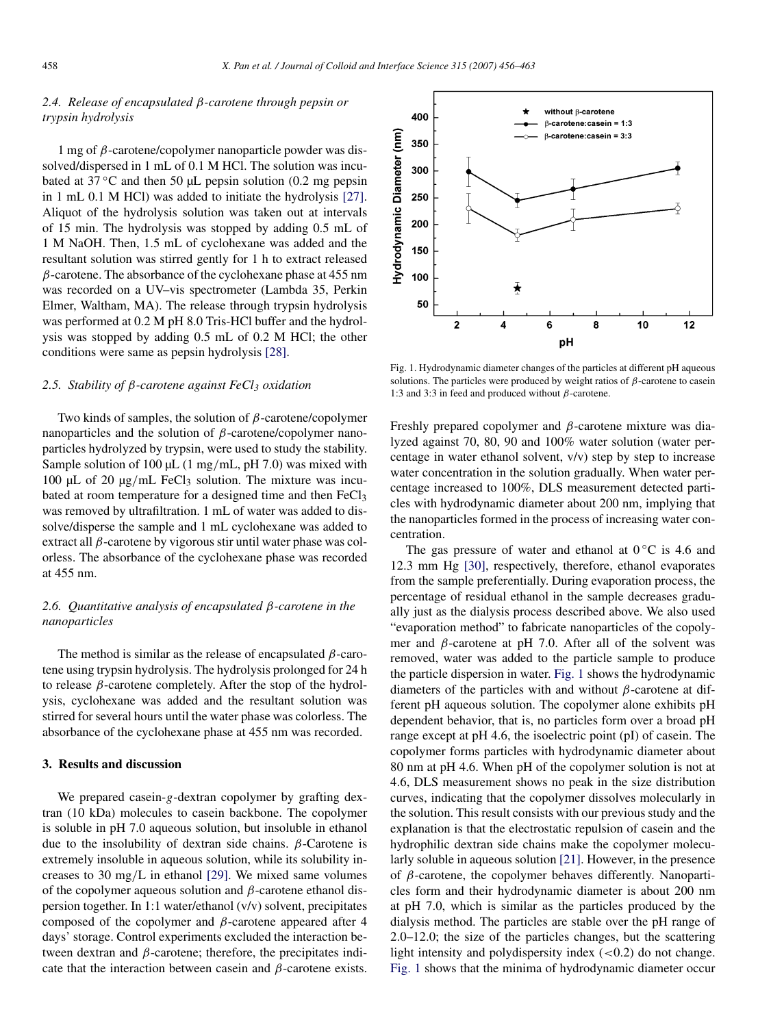# <span id="page-2-0"></span>*2.4. Release of encapsulated β-carotene through pepsin or trypsin hydrolysis*

1 mg of *β*-carotene/copolymer nanoparticle powder was dissolved/dispersed in 1 mL of 0.1 M HCl. The solution was incubated at  $37^{\circ}$ C and then 50 µL pepsin solution (0.2 mg pepsin in 1 mL 0.1 M HCl) was added to initiate the hydrolysis [\[27\].](#page-6-0) Aliquot of the hydrolysis solution was taken out at intervals of 15 min. The hydrolysis was stopped by adding 0.5 mL of 1 M NaOH. Then, 1.5 mL of cyclohexane was added and the resultant solution was stirred gently for 1 h to extract released *β*-carotene. The absorbance of the cyclohexane phase at 455 nm was recorded on a UV–vis spectrometer (Lambda 35, Perkin Elmer, Waltham, MA). The release through trypsin hydrolysis was performed at 0.2 M pH 8.0 Tris-HCl buffer and the hydrolysis was stopped by adding 0.5 mL of 0.2 M HCl; the other conditions were same as pepsin hydrolysis [\[28\].](#page-6-0)

### *2.5. Stability of β-carotene against FeCl3 oxidation*

Two kinds of samples, the solution of *β*-carotene/copolymer nanoparticles and the solution of *β*-carotene/copolymer nanoparticles hydrolyzed by trypsin, were used to study the stability. Sample solution of 100 µL (1 mg/mL, pH 7.0) was mixed with 100 μL of 20 μg/mL FeCl<sub>3</sub> solution. The mixture was incubated at room temperature for a designed time and then FeCl<sub>3</sub> was removed by ultrafiltration. 1 mL of water was added to dissolve/disperse the sample and 1 mL cyclohexane was added to extract all *β*-carotene by vigorous stir until water phase was colorless. The absorbance of the cyclohexane phase was recorded at 455 nm.

## *2.6. Quantitative analysis of encapsulated β-carotene in the nanoparticles*

The method is similar as the release of encapsulated *β*-carotene using trypsin hydrolysis. The hydrolysis prolonged for 24 h to release *β*-carotene completely. After the stop of the hydrolysis, cyclohexane was added and the resultant solution was stirred for several hours until the water phase was colorless. The absorbance of the cyclohexane phase at 455 nm was recorded.

## **3. Results and discussion**

We prepared casein-*g*-dextran copolymer by grafting dextran (10 kDa) molecules to casein backbone. The copolymer is soluble in pH 7.0 aqueous solution, but insoluble in ethanol due to the insolubility of dextran side chains. *β*-Carotene is extremely insoluble in aqueous solution, while its solubility increases to 30 mg*/*L in ethanol [\[29\].](#page-6-0) We mixed same volumes of the copolymer aqueous solution and *β*-carotene ethanol dispersion together. In 1:1 water/ethanol (v/v) solvent, precipitates composed of the copolymer and *β*-carotene appeared after 4 days' storage. Control experiments excluded the interaction between dextran and *β*-carotene; therefore, the precipitates indicate that the interaction between casein and *β*-carotene exists.



Fig. 1. Hydrodynamic diameter changes of the particles at different pH aqueous solutions. The particles were produced by weight ratios of *β*-carotene to casein 1:3 and 3:3 in feed and produced without *β*-carotene.

Freshly prepared copolymer and *β*-carotene mixture was dialyzed against 70, 80, 90 and 100% water solution (water percentage in water ethanol solvent, v/v) step by step to increase water concentration in the solution gradually. When water percentage increased to 100%, DLS measurement detected particles with hydrodynamic diameter about 200 nm, implying that the nanoparticles formed in the process of increasing water concentration.

The gas pressure of water and ethanol at  $0\,^{\circ}\text{C}$  is 4.6 and 12.3 mm Hg [\[30\],](#page-7-0) respectively, therefore, ethanol evaporates from the sample preferentially. During evaporation process, the percentage of residual ethanol in the sample decreases gradually just as the dialysis process described above. We also used "evaporation method" to fabricate nanoparticles of the copolymer and *β*-carotene at pH 7.0. After all of the solvent was removed, water was added to the particle sample to produce the particle dispersion in water. Fig. 1 shows the hydrodynamic diameters of the particles with and without *β*-carotene at different pH aqueous solution. The copolymer alone exhibits pH dependent behavior, that is, no particles form over a broad pH range except at pH 4.6, the isoelectric point (pI) of casein. The copolymer forms particles with hydrodynamic diameter about 80 nm at pH 4.6. When pH of the copolymer solution is not at 4.6, DLS measurement shows no peak in the size distribution curves, indicating that the copolymer dissolves molecularly in the solution. This result consists with our previous study and the explanation is that the electrostatic repulsion of casein and the hydrophilic dextran side chains make the copolymer molecularly soluble in aqueous solution [\[21\].](#page-6-0) However, in the presence of *β*-carotene, the copolymer behaves differently. Nanoparticles form and their hydrodynamic diameter is about 200 nm at pH 7.0, which is similar as the particles produced by the dialysis method. The particles are stable over the pH range of 2.0–12.0; the size of the particles changes, but the scattering light intensity and polydispersity index (*<*0.2) do not change. Fig. 1 shows that the minima of hydrodynamic diameter occur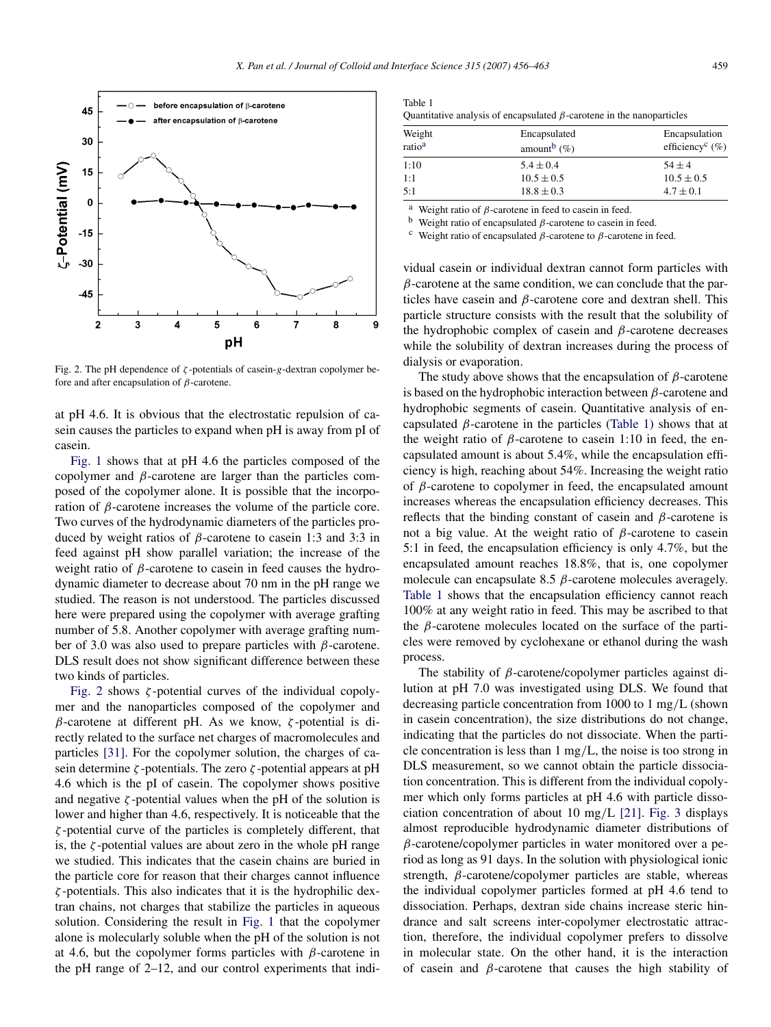

Fig. 2. The pH dependence of *ζ* -potentials of casein-*g*-dextran copolymer before and after encapsulation of *β*-carotene.

at pH 4.6. It is obvious that the electrostatic repulsion of casein causes the particles to expand when pH is away from pI of casein.

[Fig. 1](#page-2-0) shows that at pH 4.6 the particles composed of the copolymer and *β*-carotene are larger than the particles composed of the copolymer alone. It is possible that the incorporation of *β*-carotene increases the volume of the particle core. Two curves of the hydrodynamic diameters of the particles produced by weight ratios of *β*-carotene to casein 1:3 and 3:3 in feed against pH show parallel variation; the increase of the weight ratio of *β*-carotene to casein in feed causes the hydrodynamic diameter to decrease about 70 nm in the pH range we studied. The reason is not understood. The particles discussed here were prepared using the copolymer with average grafting number of 5.8. Another copolymer with average grafting number of 3.0 was also used to prepare particles with *β*-carotene. DLS result does not show significant difference between these two kinds of particles.

Fig. 2 shows *ζ* -potential curves of the individual copolymer and the nanoparticles composed of the copolymer and *β*-carotene at different pH. As we know, *ζ* -potential is directly related to the surface net charges of macromolecules and particles [\[31\].](#page-7-0) For the copolymer solution, the charges of casein determine *ζ* -potentials. The zero *ζ* -potential appears at pH 4.6 which is the pI of casein. The copolymer shows positive and negative  $\zeta$ -potential values when the pH of the solution is lower and higher than 4.6, respectively. It is noticeable that the *ζ* -potential curve of the particles is completely different, that is, the *ζ* -potential values are about zero in the whole pH range we studied. This indicates that the casein chains are buried in the particle core for reason that their charges cannot influence *ζ* -potentials. This also indicates that it is the hydrophilic dextran chains, not charges that stabilize the particles in aqueous solution. Considering the result in [Fig. 1](#page-2-0) that the copolymer alone is molecularly soluble when the pH of the solution is not at 4.6, but the copolymer forms particles with  $\beta$ -carotene in the pH range of 2–12, and our control experiments that indi-

| Table |  |
|-------|--|
|-------|--|

| Quantitative analysis of encapsulated $\beta$ -carotene in the nanoparticles |  |
|------------------------------------------------------------------------------|--|
|------------------------------------------------------------------------------|--|

| Weight<br>ratio <sup>a</sup> | Encapsulated<br>amount <sup>b</sup> $(\% )$ | Encapsulation<br>efficiency <sup>c</sup> $(\%)$ |
|------------------------------|---------------------------------------------|-------------------------------------------------|
| 1:10                         | $5.4 \pm 0.4$                               | $54 \pm 4$                                      |
| 1:1                          | $10.5 \pm 0.5$                              | $10.5 \pm 0.5$                                  |
| 5:1                          | $18.8 \pm 0.3$                              | $4.7 \pm 0.1$                                   |

<sup>a</sup> Weight ratio of *β*-carotene in feed to casein in feed.

b Weight ratio of encapsulated *β*-carotene to casein in feed. c Weight ratio of encapsulated *β*-carotene to *β*-carotene in feed.

vidual casein or individual dextran cannot form particles with *β*-carotene at the same condition, we can conclude that the particles have casein and *β*-carotene core and dextran shell. This particle structure consists with the result that the solubility of the hydrophobic complex of casein and *β*-carotene decreases while the solubility of dextran increases during the process of dialysis or evaporation.

The study above shows that the encapsulation of  $\beta$ -carotene is based on the hydrophobic interaction between *β*-carotene and hydrophobic segments of casein. Quantitative analysis of encapsulated *β*-carotene in the particles (Table 1) shows that at the weight ratio of *β*-carotene to casein 1:10 in feed, the encapsulated amount is about 5.4%, while the encapsulation efficiency is high, reaching about 54%. Increasing the weight ratio of *β*-carotene to copolymer in feed, the encapsulated amount increases whereas the encapsulation efficiency decreases. This reflects that the binding constant of casein and *β*-carotene is not a big value. At the weight ratio of *β*-carotene to casein 5:1 in feed, the encapsulation efficiency is only 4.7%, but the encapsulated amount reaches 18.8%, that is, one copolymer molecule can encapsulate 8.5 *β*-carotene molecules averagely. Table 1 shows that the encapsulation efficiency cannot reach 100% at any weight ratio in feed. This may be ascribed to that the *β*-carotene molecules located on the surface of the particles were removed by cyclohexane or ethanol during the wash process.

The stability of *β*-carotene/copolymer particles against dilution at pH 7.0 was investigated using DLS. We found that decreasing particle concentration from 1000 to 1 mg*/*L (shown in casein concentration), the size distributions do not change, indicating that the particles do not dissociate. When the particle concentration is less than 1 mg*/*L, the noise is too strong in DLS measurement, so we cannot obtain the particle dissociation concentration. This is different from the individual copolymer which only forms particles at pH 4.6 with particle dissociation concentration of about 10 mg*/*L [\[21\].](#page-6-0) [Fig. 3](#page-4-0) displays almost reproducible hydrodynamic diameter distributions of *β*-carotene/copolymer particles in water monitored over a period as long as 91 days. In the solution with physiological ionic strength, *β*-carotene/copolymer particles are stable, whereas the individual copolymer particles formed at pH 4.6 tend to dissociation. Perhaps, dextran side chains increase steric hindrance and salt screens inter-copolymer electrostatic attraction, therefore, the individual copolymer prefers to dissolve in molecular state. On the other hand, it is the interaction of casein and *β*-carotene that causes the high stability of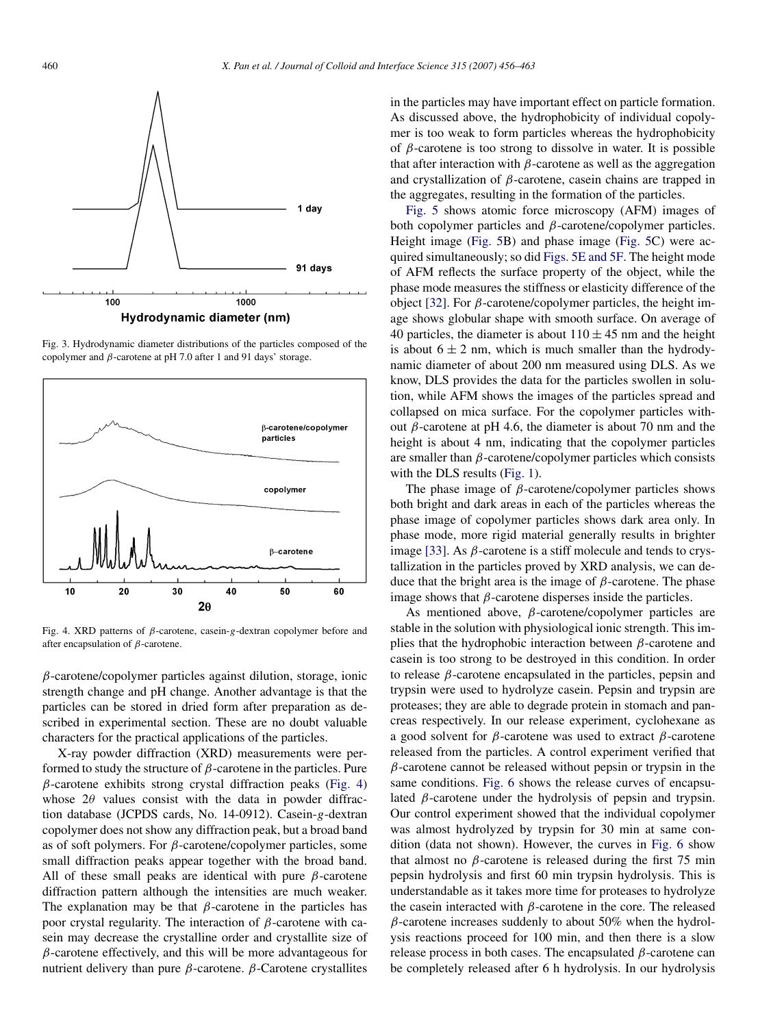<span id="page-4-0"></span>

Fig. 3. Hydrodynamic diameter distributions of the particles composed of the copolymer and *β*-carotene at pH 7.0 after 1 and 91 days' storage.



Fig. 4. XRD patterns of *β*-carotene, casein-*g*-dextran copolymer before and after encapsulation of *β*-carotene.

*β*-carotene/copolymer particles against dilution, storage, ionic strength change and pH change. Another advantage is that the particles can be stored in dried form after preparation as described in experimental section. These are no doubt valuable characters for the practical applications of the particles.

X-ray powder diffraction (XRD) measurements were performed to study the structure of *β*-carotene in the particles. Pure  $\beta$ -carotene exhibits strong crystal diffraction peaks (Fig. 4) whose  $2\theta$  values consist with the data in powder diffraction database (JCPDS cards, No. 14-0912). Casein-*g*-dextran copolymer does not show any diffraction peak, but a broad band as of soft polymers. For *β*-carotene/copolymer particles, some small diffraction peaks appear together with the broad band. All of these small peaks are identical with pure *β*-carotene diffraction pattern although the intensities are much weaker. The explanation may be that *β*-carotene in the particles has poor crystal regularity. The interaction of *β*-carotene with casein may decrease the crystalline order and crystallite size of *β*-carotene effectively, and this will be more advantageous for nutrient delivery than pure *β*-carotene. *β*-Carotene crystallites

in the particles may have important effect on particle formation. As discussed above, the hydrophobicity of individual copolymer is too weak to form particles whereas the hydrophobicity of *β*-carotene is too strong to dissolve in water. It is possible that after interaction with *β*-carotene as well as the aggregation and crystallization of *β*-carotene, casein chains are trapped in the aggregates, resulting in the formation of the particles.

[Fig. 5](#page-5-0) shows atomic force microscopy (AFM) images of both copolymer particles and *β*-carotene/copolymer particles. Height image [\(Fig. 5B](#page-5-0)) and phase image [\(Fig. 5C](#page-5-0)) were acquired simultaneously; so did [Figs. 5E and 5F.](#page-5-0) The height mode of AFM reflects the surface property of the object, while the phase mode measures the stiffness or elasticity difference of the object [\[32\].](#page-7-0) For *β*-carotene/copolymer particles, the height image shows globular shape with smooth surface. On average of 40 particles, the diameter is about  $110 \pm 45$  nm and the height is about  $6 \pm 2$  nm, which is much smaller than the hydrodynamic diameter of about 200 nm measured using DLS. As we know, DLS provides the data for the particles swollen in solution, while AFM shows the images of the particles spread and collapsed on mica surface. For the copolymer particles without *β*-carotene at pH 4.6, the diameter is about 70 nm and the height is about 4 nm, indicating that the copolymer particles are smaller than *β*-carotene/copolymer particles which consists with the DLS results [\(Fig. 1\)](#page-2-0).

The phase image of *β*-carotene/copolymer particles shows both bright and dark areas in each of the particles whereas the phase image of copolymer particles shows dark area only. In phase mode, more rigid material generally results in brighter image [\[33\].](#page-7-0) As *β*-carotene is a stiff molecule and tends to crystallization in the particles proved by XRD analysis, we can deduce that the bright area is the image of *β*-carotene. The phase image shows that  $\beta$ -carotene disperses inside the particles.

As mentioned above, *β*-carotene/copolymer particles are stable in the solution with physiological ionic strength. This implies that the hydrophobic interaction between *β*-carotene and casein is too strong to be destroyed in this condition. In order to release *β*-carotene encapsulated in the particles, pepsin and trypsin were used to hydrolyze casein. Pepsin and trypsin are proteases; they are able to degrade protein in stomach and pancreas respectively. In our release experiment, cyclohexane as a good solvent for *β*-carotene was used to extract *β*-carotene released from the particles. A control experiment verified that *β*-carotene cannot be released without pepsin or trypsin in the same conditions. [Fig. 6](#page-5-0) shows the release curves of encapsulated *β*-carotene under the hydrolysis of pepsin and trypsin. Our control experiment showed that the individual copolymer was almost hydrolyzed by trypsin for 30 min at same condition (data not shown). However, the curves in [Fig. 6](#page-5-0) show that almost no  $\beta$ -carotene is released during the first 75 min pepsin hydrolysis and first 60 min trypsin hydrolysis. This is understandable as it takes more time for proteases to hydrolyze the casein interacted with *β*-carotene in the core. The released *β*-carotene increases suddenly to about 50% when the hydrolysis reactions proceed for 100 min, and then there is a slow release process in both cases. The encapsulated *β*-carotene can be completely released after 6 h hydrolysis. In our hydrolysis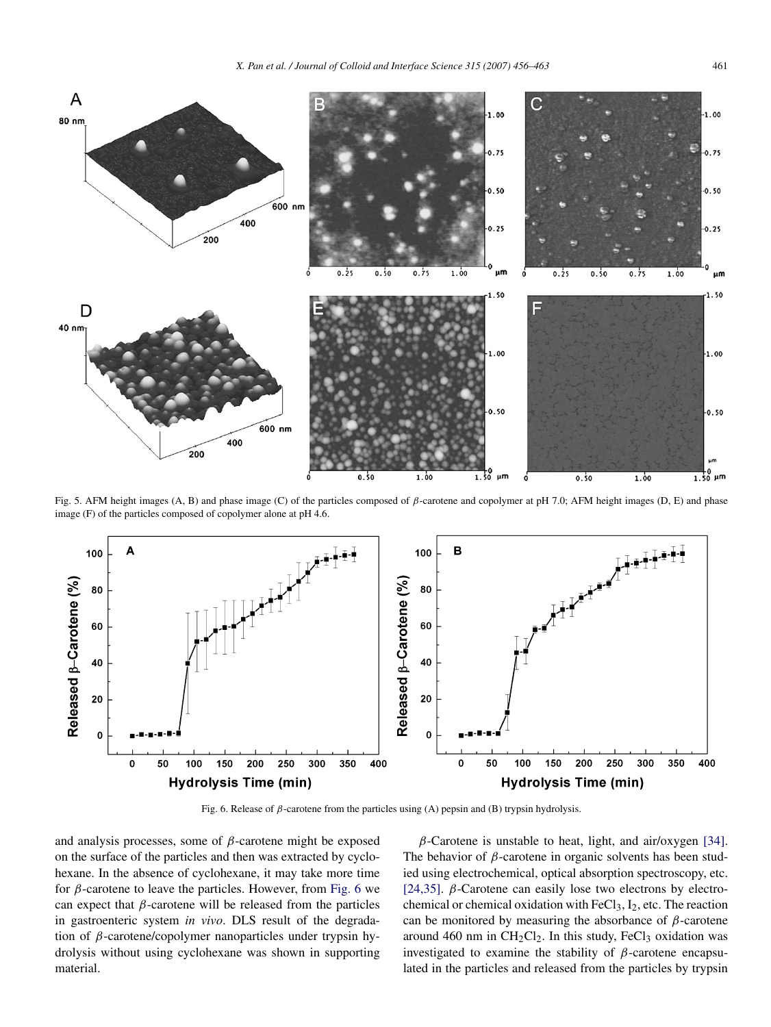<span id="page-5-0"></span>

Fig. 5. AFM height images (A, B) and phase image (C) of the particles composed of *β*-carotene and copolymer at pH 7.0; AFM height images (D, E) and phase image (F) of the particles composed of copolymer alone at pH 4.6.



Fig. 6. Release of *β*-carotene from the particles using (A) pepsin and (B) trypsin hydrolysis.

and analysis processes, some of *β*-carotene might be exposed on the surface of the particles and then was extracted by cyclohexane. In the absence of cyclohexane, it may take more time for *β*-carotene to leave the particles. However, from Fig. 6 we can expect that  $\beta$ -carotene will be released from the particles in gastroenteric system *in vivo*. DLS result of the degradation of *β*-carotene/copolymer nanoparticles under trypsin hydrolysis without using cyclohexane was shown in supporting material.

*β*-Carotene is unstable to heat, light, and air/oxygen [\[34\].](#page-7-0) The behavior of *β*-carotene in organic solvents has been studied using electrochemical, optical absorption spectroscopy, etc. [\[24,35\].](#page-6-0)  $\beta$ -Carotene can easily lose two electrons by electrochemical or chemical oxidation with  $FeCl<sub>3</sub>$ ,  $I<sub>2</sub>$ , etc. The reaction can be monitored by measuring the absorbance of *β*-carotene around 460 nm in  $CH_2Cl_2$ . In this study, FeCl<sub>3</sub> oxidation was investigated to examine the stability of *β*-carotene encapsulated in the particles and released from the particles by trypsin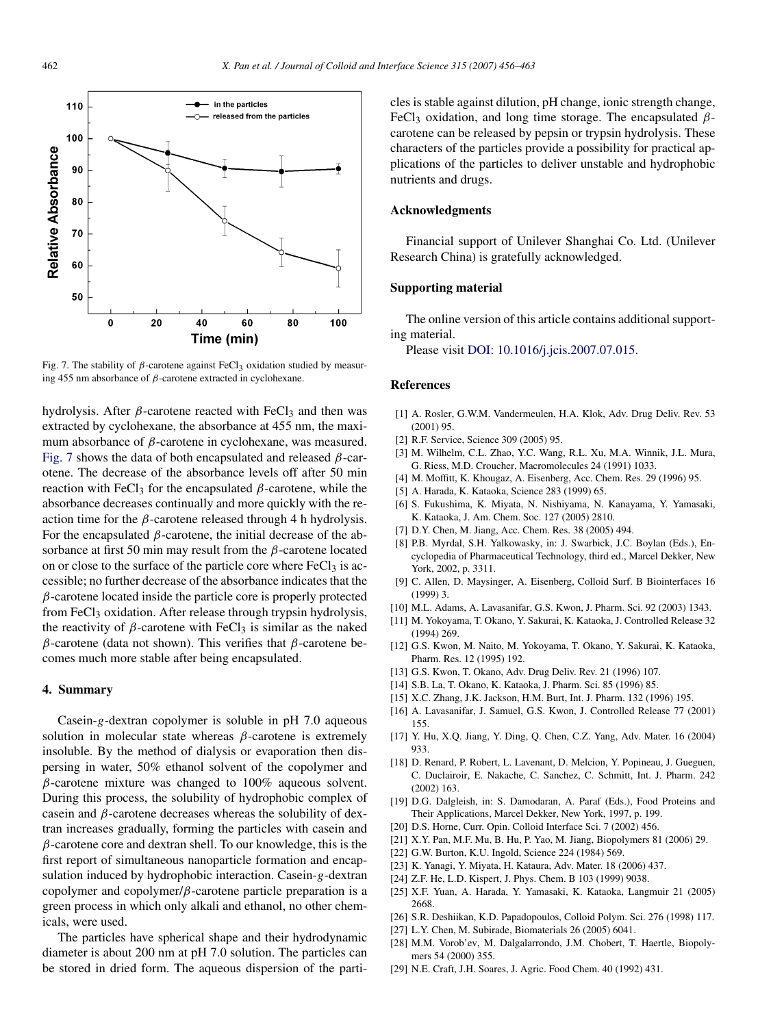<span id="page-6-0"></span>

Fig. 7. The stability of *β*-carotene against FeCl<sub>3</sub> oxidation studied by measuring 455 nm absorbance of *β*-carotene extracted in cyclohexane.

hydrolysis. After  $\beta$ -carotene reacted with FeCl<sub>3</sub> and then was extracted by cyclohexane, the absorbance at 455 nm, the maximum absorbance of *β*-carotene in cyclohexane, was measured. Fig. 7 shows the data of both encapsulated and released *β*-carotene. The decrease of the absorbance levels off after 50 min reaction with FeCl<sub>3</sub> for the encapsulated  $β$ -carotene, while the absorbance decreases continually and more quickly with the reaction time for the  $\beta$ -carotene released through 4 h hydrolysis. For the encapsulated  $\beta$ -carotene, the initial decrease of the absorbance at first 50 min may result from the *β*-carotene located on or close to the surface of the particle core where  $FeCl<sub>3</sub>$  is accessible; no further decrease of the absorbance indicates that the *β*-carotene located inside the particle core is properly protected from FeCl<sub>3</sub> oxidation. After release through trypsin hydrolysis, the reactivity of  $\beta$ -carotene with FeCl<sub>3</sub> is similar as the naked *β*-carotene (data not shown). This verifies that *β*-carotene becomes much more stable after being encapsulated.

#### **4. Summary**

Casein-*g*-dextran copolymer is soluble in pH 7.0 aqueous solution in molecular state whereas *β*-carotene is extremely insoluble. By the method of dialysis or evaporation then dispersing in water, 50% ethanol solvent of the copolymer and *β*-carotene mixture was changed to 100% aqueous solvent. During this process, the solubility of hydrophobic complex of casein and *β*-carotene decreases whereas the solubility of dextran increases gradually, forming the particles with casein and *β*-carotene core and dextran shell. To our knowledge, this is the first report of simultaneous nanoparticle formation and encapsulation induced by hydrophobic interaction. Casein-*g*-dextran copolymer and copolymer/*β*-carotene particle preparation is a green process in which only alkali and ethanol, no other chemicals, were used.

The particles have spherical shape and their hydrodynamic diameter is about 200 nm at pH 7.0 solution. The particles can be stored in dried form. The aqueous dispersion of the particles is stable against dilution, pH change, ionic strength change, FeCl3 oxidation, and long time storage. The encapsulated *β*carotene can be released by pepsin or trypsin hydrolysis. These characters of the particles provide a possibility for practical applications of the particles to deliver unstable and hydrophobic nutrients and drugs.

## **Acknowledgments**

Financial support of Unilever Shanghai Co. Ltd. (Unilever Research China) is gratefully acknowledged.

#### **Supporting material**

The online version of this article contains additional supporting material.

Please visit [DOI: 10.1016/j.jcis.2007.07.015.](http://dx.doi.org/10.1016/j.jcis.2007.07.015)

#### **References**

- [1] A. Rosler, G.W.M. Vandermeulen, H.A. Klok, Adv. Drug Deliv. Rev. 53 (2001) 95.
- [2] R.F. Service, Science 309 (2005) 95.
- [3] M. Wilhelm, C.L. Zhao, Y.C. Wang, R.L. Xu, M.A. Winnik, J.L. Mura, G. Riess, M.D. Croucher, Macromolecules 24 (1991) 1033.
- [4] M. Moffitt, K. Khougaz, A. Eisenberg, Acc. Chem. Res. 29 (1996) 95.
- [5] A. Harada, K. Kataoka, Science 283 (1999) 65.
- [6] S. Fukushima, K. Miyata, N. Nishiyama, N. Kanayama, Y. Yamasaki, K. Kataoka, J. Am. Chem. Soc. 127 (2005) 2810.
- [7] D.Y. Chen, M. Jiang, Acc. Chem. Res. 38 (2005) 494.
- [8] P.B. Myrdal, S.H. Yalkowasky, in: J. Swarbick, J.C. Boylan (Eds.), Encyclopedia of Pharmaceutical Technology, third ed., Marcel Dekker, New York, 2002, p. 3311.
- [9] C. Allen, D. Maysinger, A. Eisenberg, Colloid Surf. B Biointerfaces 16 (1999) 3.
- [10] M.L. Adams, A. Lavasanifar, G.S. Kwon, J. Pharm. Sci. 92 (2003) 1343.
- [11] M. Yokoyama, T. Okano, Y. Sakurai, K. Kataoka, J. Controlled Release 32 (1994) 269.
- [12] G.S. Kwon, M. Naito, M. Yokoyama, T. Okano, Y. Sakurai, K. Kataoka, Pharm. Res. 12 (1995) 192.
- [13] G.S. Kwon, T. Okano, Adv. Drug Deliv. Rev. 21 (1996) 107.
- [14] S.B. La, T. Okano, K. Kataoka, J. Pharm. Sci. 85 (1996) 85.
- [15] X.C. Zhang, J.K. Jackson, H.M. Burt, Int. J. Pharm. 132 (1996) 195.
- [16] A. Lavasanifar, J. Samuel, G.S. Kwon, J. Controlled Release 77 (2001) 155.
- [17] Y. Hu, X.Q. Jiang, Y. Ding, Q. Chen, C.Z. Yang, Adv. Mater. 16 (2004) 933.
- [18] D. Renard, P. Robert, L. Lavenant, D. Melcion, Y. Popineau, J. Gueguen, C. Duclairoir, E. Nakache, C. Sanchez, C. Schmitt, Int. J. Pharm. 242 (2002) 163.
- [19] D.G. Dalgleish, in: S. Damodaran, A. Paraf (Eds.), Food Proteins and Their Applications, Marcel Dekker, New York, 1997, p. 199.
- [20] D.S. Horne, Curr. Opin. Colloid Interface Sci. 7 (2002) 456.
- [21] X.Y. Pan, M.F. Mu, B. Hu, P. Yao, M. Jiang, Biopolymers 81 (2006) 29.
- [22] G.W. Burton, K.U. Ingold, Science 224 (1984) 569.
- [23] K. Yanagi, Y. Miyata, H. Kataura, Adv. Mater. 18 (2006) 437.
- [24] Z.F. He, L.D. Kispert, J. Phys. Chem. B 103 (1999) 9038.
- [25] X.F. Yuan, A. Harada, Y. Yamasaki, K. Kataoka, Langmuir 21 (2005) 2668.
- [26] S.R. Deshiikan, K.D. Papadopoulos, Colloid Polym. Sci. 276 (1998) 117.
- [27] L.Y. Chen, M. Subirade, Biomaterials 26 (2005) 6041.
- [28] M.M. Vorob'ev, M. Dalgalarrondo, J.M. Chobert, T. Haertle, Biopolymers 54 (2000) 355.
- [29] N.E. Craft, J.H. Soares, J. Agric. Food Chem. 40 (1992) 431.